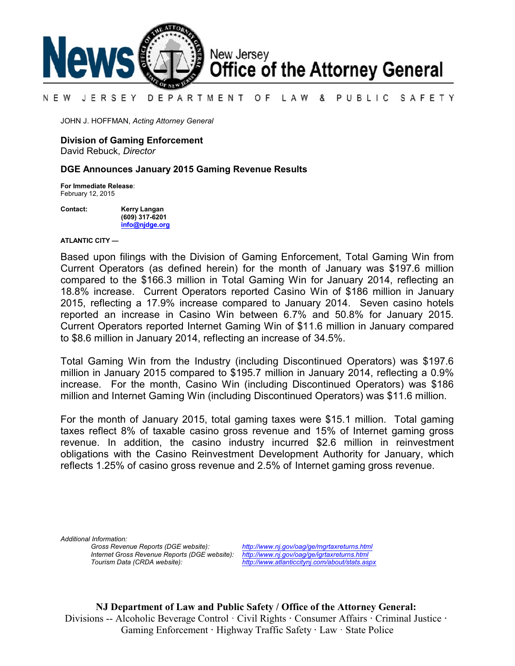

#### N E W JERSEY DEPARTMENT OF LAW & PUBLIC SAFETY

JOHN J. HOFFMAN, *Acting Attorney General*

### **Division of Gaming Enforcement**

David Rebuck, *Director*

### **DGE Announces January 2015 Gaming Revenue Results**

**For Immediate Release**: February 12, 2015

**Contact: Kerry Langan (609) 317-6201 [info@njdge.org](file:///|//info@njdge.org)**

**ATLANTIC CITY —**

 Current Operators (as defined herein) for the month of January was \$197.6 million Based upon filings with the Division of Gaming Enforcement, Total Gaming Win from compared to the \$166.3 million in Total Gaming Win for January 2014, reflecting an 18.8% increase. Current Operators reported Casino Win of \$186 million in January 2015, reflecting a 17.9% increase compared to January 2014. Seven casino hotels reported an increase in Casino Win between 6.7% and 50.8% for January 2015. Current Operators reported Internet Gaming Win of \$11.6 million in January compared to \$8.6 million in January 2014, reflecting an increase of 34.5%.

Total Gaming Win from the Industry (including Discontinued Operators) was \$197.6 million in January 2015 compared to \$195.7 million in January 2014, reflecting a 0.9% increase. For the month, Casino Win (including Discontinued Operators) was \$186 million and Internet Gaming Win (including Discontinued Operators) was \$11.6 million.

For the month of January 2015, total gaming taxes were \$15.1 million. Total gaming taxes reflect 8% of taxable casino gross revenue and 15% of Internet gaming gross revenue. In addition, the casino industry incurred \$2.6 million in reinvestment obligations with the Casino Reinvestment Development Authority for January, which reflects 1.25% of casino gross revenue and 2.5% of Internet gaming gross revenue.

*Additional Information:*

*Gross Revenue Reports (DGE website): <http://www.nj.gov/oag/ge/mgrtaxreturns.html> Internet Gross Revenue Reports (DGE website): <http://www.nj.gov/oag/ge/igrtaxreturns.html>*

*Tourism Data (CRDA website): <http://www.atlanticcitynj.com/about/stats.aspx>*

**NJ Department of Law and Public Safety / Office of the Attorney General:** Divisions -- Alcoholic Beverage Control · Civil Rights **·** Consumer Affairs **·** Criminal Justice **·**  Gaming Enforcement **·** Highway Traffic Safety **·** Law · State Police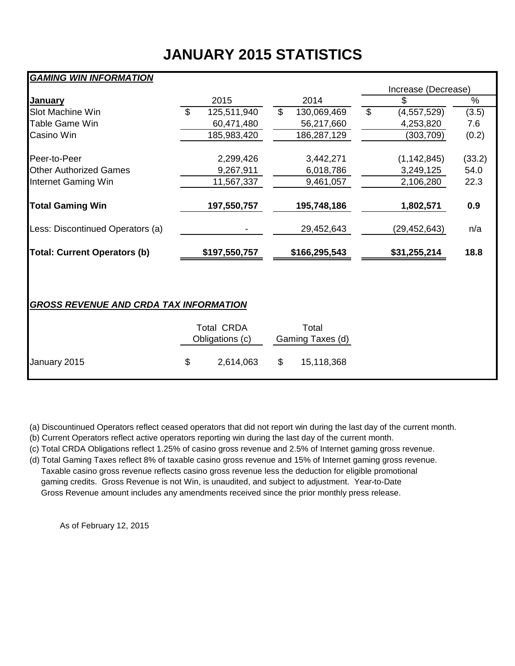# **JANUARY 2015 STATISTICS**

## *GAMING WIN INFORMATION*

| 2015<br>125,511,940<br>60,471,480             | 2014<br>\$<br>130,069,469 | \$<br>\$<br>(4, 557, 529) | $\%$   |
|-----------------------------------------------|---------------------------|---------------------------|--------|
|                                               |                           |                           |        |
|                                               |                           |                           | (3.5)  |
|                                               | 56,217,660                | 4,253,820                 | 7.6    |
| 185,983,420                                   | 186,287,129               | (303, 709)                | (0.2)  |
| 2,299,426                                     | 3,442,271                 | (1, 142, 845)             | (33.2) |
| 9,267,911                                     | 6,018,786                 | 3,249,125                 | 54.0   |
| 11,567,337                                    | 9,461,057                 | 2,106,280                 | 22.3   |
| 197,550,757                                   | 195,748,186               | 1,802,571                 | 0.9    |
|                                               | 29,452,643                | (29, 452, 643)            | n/a    |
| \$197,550,757                                 | \$166,295,543             | \$31,255,214              | 18.8   |
| <b>GROSS REVENUE AND CRDA TAX INFORMATION</b> |                           |                           |        |
|                                               |                           |                           |        |

|              | <b>Total CRDA</b><br>Obligations (c) |           |     | Total<br>Gaming Taxes (d) |  |  |
|--------------|--------------------------------------|-----------|-----|---------------------------|--|--|
| January 2015 | \$.                                  | 2,614,063 | -SS | 15,118,368                |  |  |

(a) Discountinued Operators reflect ceased operators that did not report win during the last day of the current month.

(b) Current Operators reflect active operators reporting win during the last day of the current month.

(c) Total CRDA Obligations reflect 1.25% of casino gross revenue and 2.5% of Internet gaming gross revenue.

(d) Total Gaming Taxes reflect 8% of taxable casino gross revenue and 15% of Internet gaming gross revenue. Taxable casino gross revenue reflects casino gross revenue less the deduction for eligible promotional gaming credits. Gross Revenue is not Win, is unaudited, and subject to adjustment. Year-to-Date Gross Revenue amount includes any amendments received since the prior monthly press release.

As of February 12, 2015